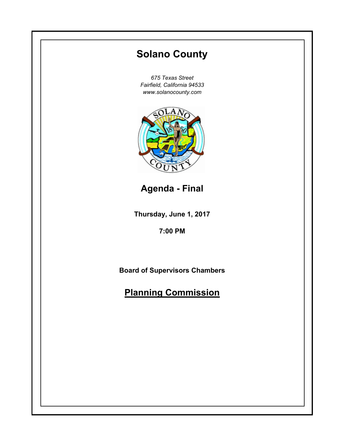# **Thursday, June 1, 2017 7:00 PM Solano County** *675 Texas Street Fairfield, California 94533 www.solanocounty.com* **Board of Supervisors Chambers Planning Commission Agenda - Final**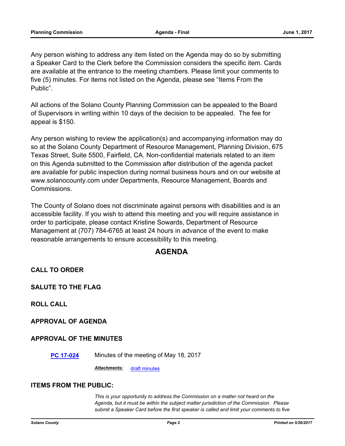Any person wishing to address any item listed on the Agenda may do so by submitting a Speaker Card to the Clerk before the Commission considers the specific item. Cards are available at the entrance to the meeting chambers. Please limit your comments to five (5) minutes. For items not listed on the Agenda, please see "Items From the Public".

All actions of the Solano County Planning Commission can be appealed to the Board of Supervisors in writing within 10 days of the decision to be appealed. The fee for appeal is \$150.

Any person wishing to review the application(s) and accompanying information may do so at the Solano County Department of Resource Management, Planning Division, 675 Texas Street, Suite 5500, Fairfield, CA. Non-confidential materials related to an item on this Agenda submitted to the Commission after distribution of the agenda packet are available for public inspection during normal business hours and on our website at www.solanocounty.com under Departments, Resource Management, Boards and Commissions.

The County of Solano does not discriminate against persons with disabilities and is an accessible facility. If you wish to attend this meeting and you will require assistance in order to participate, please contact Kristine Sowards, Department of Resource Management at (707) 784-6765 at least 24 hours in advance of the event to make reasonable arrangements to ensure accessibility to this meeting.

# **AGENDA**

**CALL TO ORDER**

**SALUTE TO THE FLAG**

**ROLL CALL**

**APPROVAL OF AGENDA**

## **APPROVAL OF THE MINUTES**

**[PC 17-024](http://solano.legistar.com/gateway.aspx?m=l&id=/matter.aspx?key=11000)** Minutes of the meeting of May 18, 2017

*Attachments:* [draft minutes](http://solano.legistar.com/gateway.aspx?M=F&ID=f035eba9-813c-4b07-8dc0-17f8902603ad.pdf)

#### **ITEMS FROM THE PUBLIC:**

*This is your opportunity to address the Commission on a matter not heard on the Agenda, but it must be within the subject matter jurisdiction of the Commission. Please submit a Speaker Card before the first speaker is called and limit your comments to five*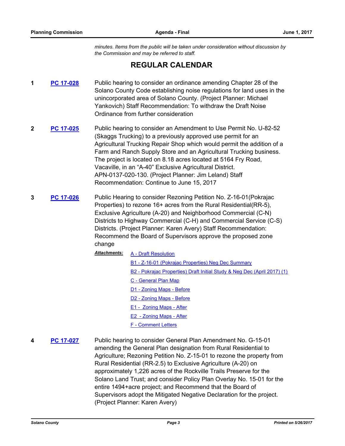*minutes. Items from the public will be taken under consideration without discussion by the Commission and may be referred to staff.*

# **REGULAR CALENDAR**

- **1 [PC 17-028](http://solano.legistar.com/gateway.aspx?m=l&id=/matter.aspx?key=11006)** Public hearing to consider an ordinance amending Chapter 28 of the Solano County Code establishing noise regulations for land uses in the unincorporated area of Solano County. (Project Planner: Michael Yankovich) Staff Recommendation: To withdraw the Draft Noise Ordinance from further consideration
- **2 [PC 17-025](http://solano.legistar.com/gateway.aspx?m=l&id=/matter.aspx?key=11001)** Public hearing to consider an Amendment to Use Permit No. U-82-52 (Skaggs Trucking) to a previously approved use permit for an Agricultural Trucking Repair Shop which would permit the addition of a Farm and Ranch Supply Store and an Agricultural Trucking business. The project is located on 8.18 acres located at 5164 Fry Road, Vacaville, in an "A-40" Exclusive Agricultural District. APN-0137-020-130. (Project Planner: Jim Leland) Staff Recommendation: Continue to June 15, 2017
- **3 [PC 17-026](http://solano.legistar.com/gateway.aspx?m=l&id=/matter.aspx?key=11002)** Public Hearing to consider Rezoning Petition No. Z-16-01(Pokrajac Properties) to rezone 16+ acres from the Rural Residential(RR-5), Exclusive Agriculture (A-20) and Neighborhood Commercial (C-N) Districts to Highway Commercial (C-H) and Commercial Service (C-S) Districts. (Project Planner: Karen Avery) Staff Recommendation: Recommend the Board of Supervisors approve the proposed zone change
	- [A Draft Resolution](http://solano.legistar.com/gateway.aspx?M=F&ID=cd830ebd-bc55-4ea9-9aff-08a2823d3cd5.pdf) [B1 - Z-16-01 \(Pokrajac Properties\) Neg Dec Summary](http://solano.legistar.com/gateway.aspx?M=F&ID=9ca34d9c-31ac-4fa7-828d-20dd83bfa7b7.pdf) [B2 - Pokrajac Properties\) Draft Initial Study & Neg Dec \(April 2017\) \(1\)](http://solano.legistar.com/gateway.aspx?M=F&ID=ffdd0182-111d-4a89-8b46-4cf5cc09f761.pdf) [C - General Plan Map](http://solano.legistar.com/gateway.aspx?M=F&ID=a5f3ee95-4421-4eae-8f2d-831518abcdb9.pdf) [D1 - Zoning Maps - Before](http://solano.legistar.com/gateway.aspx?M=F&ID=39e428bd-1e82-4075-8fd5-bb918cab7ef9.pdf) [D2 - Zoning Maps - Before](http://solano.legistar.com/gateway.aspx?M=F&ID=92247a7c-9d0c-4ec2-924f-1749a918c146.pdf) [E1 - Zoning Maps - After](http://solano.legistar.com/gateway.aspx?M=F&ID=33dd0f66-82ba-43da-9299-4452e5fee65c.pdf) [E2 - Zoning Maps - After](http://solano.legistar.com/gateway.aspx?M=F&ID=0db0b8b8-a4c7-4972-9392-d08c14585b06.pdf) [F - Comment Letters](http://solano.legistar.com/gateway.aspx?M=F&ID=af049152-e698-4139-bbfd-b8fc5a26f754.pdf) *Attachments:*
- **4 [PC 17-027](http://solano.legistar.com/gateway.aspx?m=l&id=/matter.aspx?key=11005)** Public hearing to consider General Plan Amendment No. G-15-01 amending the General Plan designation from Rural Residential to Agriculture; Rezoning Petition No. Z-15-01 to rezone the property from Rural Residential (RR-2.5) to Exclusive Agriculture (A-20) on approximately 1,226 acres of the Rockville Trails Preserve for the Solano Land Trust; and consider Policy Plan Overlay No. 15-01 for the entire 1494+acre project; and Recommend that the Board of Supervisors adopt the Mitigated Negative Declaration for the project. (Project Planner: Karen Avery)